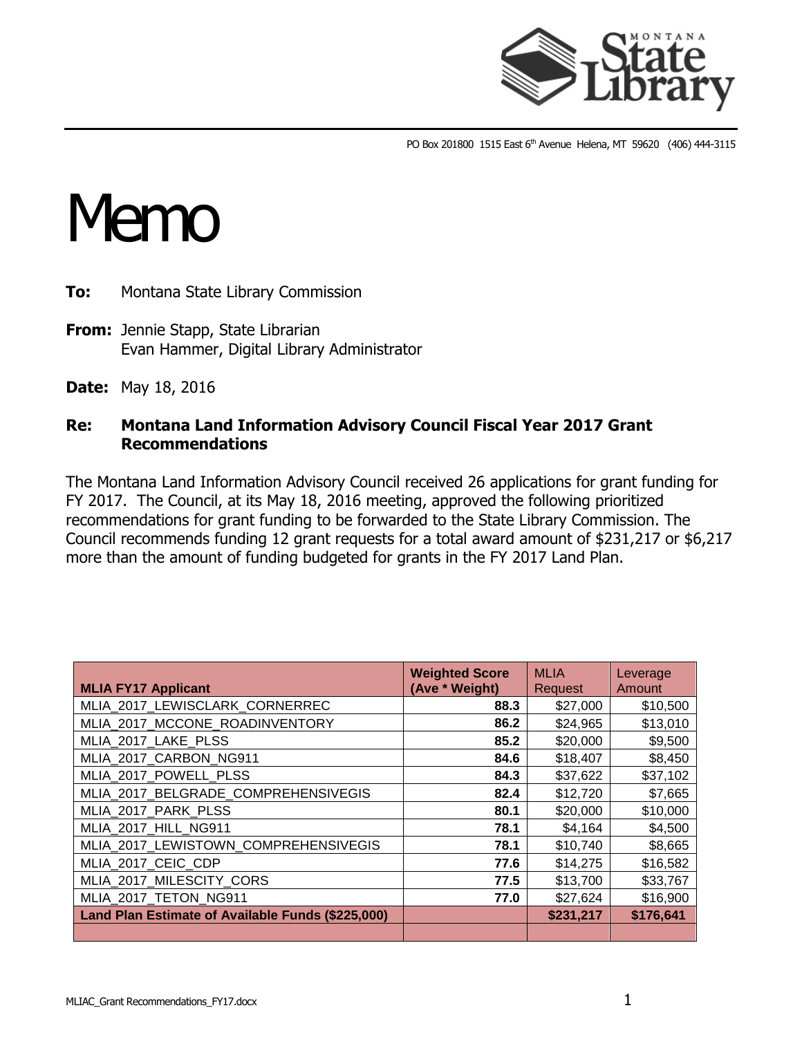

PO Box 201800 1515 East 6<sup>th</sup> Avenue Helena, MT 59620 (406) 444-3115

## Memo

- **To:** Montana State Library Commission
- **From:** Jennie Stapp, State Librarian Evan Hammer, Digital Library Administrator
- **Date:** May 18, 2016

## **Re: Montana Land Information Advisory Council Fiscal Year 2017 Grant Recommendations**

The Montana Land Information Advisory Council received 26 applications for grant funding for FY 2017. The Council, at its May 18, 2016 meeting, approved the following prioritized recommendations for grant funding to be forwarded to the State Library Commission. The Council recommends funding 12 grant requests for a total award amount of \$231,217 or \$6,217 more than the amount of funding budgeted for grants in the FY 2017 Land Plan.

| <b>MLIA FY17 Applicant</b>                        | <b>Weighted Score</b><br>(Ave * Weight) | <b>MLIA</b><br><b>Request</b> | Leverage<br>Amount |
|---------------------------------------------------|-----------------------------------------|-------------------------------|--------------------|
| MLIA_2017_LEWISCLARK_CORNERREC                    | 88.3                                    | \$27,000                      | \$10,500           |
| MLIA 2017 MCCONE ROADINVENTORY                    | 86.2                                    | \$24,965                      | \$13,010           |
| MLIA_2017_LAKE_PLSS                               | 85.2                                    | \$20,000                      | \$9,500            |
| MLIA_2017_CARBON_NG911                            | 84.6                                    | \$18,407                      | \$8,450            |
| MLIA 2017 POWELL PLSS                             | 84.3                                    | \$37,622                      | \$37,102           |
| MLIA_2017_BELGRADE_COMPREHENSIVEGIS               | 82.4                                    | \$12,720                      | \$7,665            |
| MLIA_2017_PARK_PLSS                               | 80.1                                    | \$20,000                      | \$10,000           |
| MLIA 2017 HILL NG911                              | 78.1                                    | \$4,164                       | \$4,500            |
| MLIA_2017_LEWISTOWN_COMPREHENSIVEGIS              | 78.1                                    | \$10,740                      | \$8,665            |
| MLIA 2017 CEIC CDP                                | 77.6                                    | \$14,275                      | \$16,582           |
| MLIA 2017 MILESCITY CORS                          | 77.5                                    | \$13,700                      | \$33,767           |
| MLIA_2017_TETON_NG911                             | 77.0                                    | \$27,624                      | \$16,900           |
| Land Plan Estimate of Available Funds (\$225,000) |                                         | \$231,217                     | \$176,641          |
|                                                   |                                         |                               |                    |